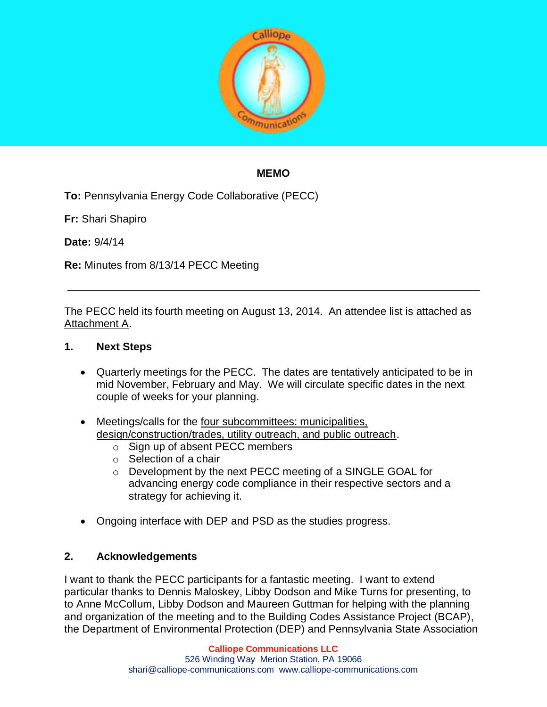

### **MEMO**

**To:** Pennsylvania Energy Code Collaborative (PECC)

**Fr:** Shari Shapiro

**Date:** 9/4/14

**Re:** Minutes from 8/13/14 PECC Meeting

The PECC held its fourth meeting on August 13, 2014. An attendee list is attached as Attachment A.

#### **1. Next Steps**

- Quarterly meetings for the PECC. The dates are tentatively anticipated to be in mid November, February and May. We will circulate specific dates in the next couple of weeks for your planning.
- Meetings/calls for the four subcommittees: municipalities, design/construction/trades, utility outreach, and public outreach.
	- o Sign up of absent PECC members
	- o Selection of a chair
	- o Development by the next PECC meeting of a SINGLE GOAL for advancing energy code compliance in their respective sectors and a strategy for achieving it.
- Ongoing interface with DEP and PSD as the studies progress.

### **2. Acknowledgements**

I want to thank the PECC participants for a fantastic meeting. I want to extend particular thanks to Dennis Maloskey, Libby Dodson and Mike Turns for presenting, to to Anne McCollum, Libby Dodson and Maureen Guttman for helping with the planning and organization of the meeting and to the Building Codes Assistance Project (BCAP), the Department of Environmental Protection (DEP) and Pennsylvania State Association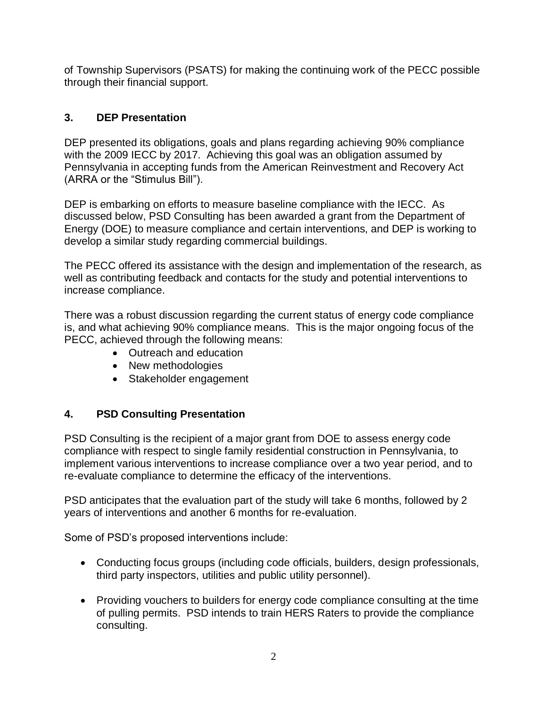of Township Supervisors (PSATS) for making the continuing work of the PECC possible through their financial support.

# **3. DEP Presentation**

DEP presented its obligations, goals and plans regarding achieving 90% compliance with the 2009 IECC by 2017. Achieving this goal was an obligation assumed by Pennsylvania in accepting funds from the American Reinvestment and Recovery Act (ARRA or the "Stimulus Bill").

DEP is embarking on efforts to measure baseline compliance with the IECC. As discussed below, PSD Consulting has been awarded a grant from the Department of Energy (DOE) to measure compliance and certain interventions, and DEP is working to develop a similar study regarding commercial buildings.

The PECC offered its assistance with the design and implementation of the research, as well as contributing feedback and contacts for the study and potential interventions to increase compliance.

There was a robust discussion regarding the current status of energy code compliance is, and what achieving 90% compliance means. This is the major ongoing focus of the PECC, achieved through the following means:

- Outreach and education
- New methodologies
- Stakeholder engagement

## **4. PSD Consulting Presentation**

PSD Consulting is the recipient of a major grant from DOE to assess energy code compliance with respect to single family residential construction in Pennsylvania, to implement various interventions to increase compliance over a two year period, and to re-evaluate compliance to determine the efficacy of the interventions.

PSD anticipates that the evaluation part of the study will take 6 months, followed by 2 years of interventions and another 6 months for re-evaluation.

Some of PSD's proposed interventions include:

- Conducting focus groups (including code officials, builders, design professionals, third party inspectors, utilities and public utility personnel).
- Providing vouchers to builders for energy code compliance consulting at the time of pulling permits. PSD intends to train HERS Raters to provide the compliance consulting.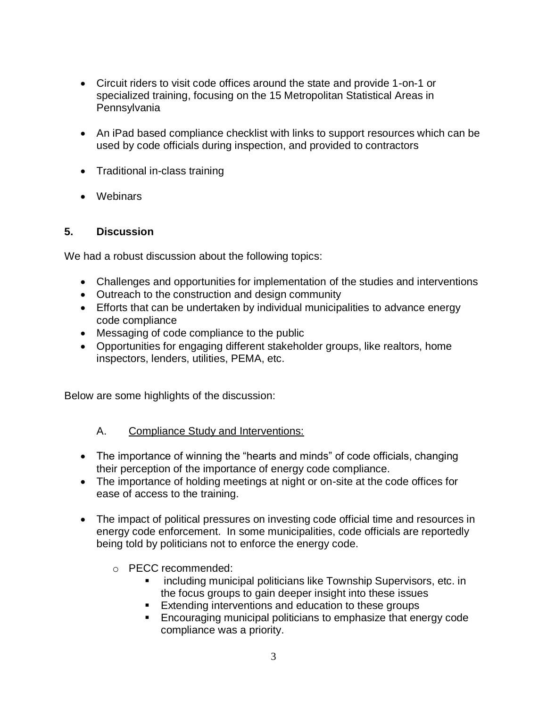- Circuit riders to visit code offices around the state and provide 1-on-1 or specialized training, focusing on the 15 Metropolitan Statistical Areas in Pennsylvania
- An iPad based compliance checklist with links to support resources which can be used by code officials during inspection, and provided to contractors
- Traditional in-class training
- Webinars

### **5. Discussion**

We had a robust discussion about the following topics:

- Challenges and opportunities for implementation of the studies and interventions
- Outreach to the construction and design community
- Efforts that can be undertaken by individual municipalities to advance energy code compliance
- Messaging of code compliance to the public
- Opportunities for engaging different stakeholder groups, like realtors, home inspectors, lenders, utilities, PEMA, etc.

Below are some highlights of the discussion:

### A. Compliance Study and Interventions:

- The importance of winning the "hearts and minds" of code officials, changing their perception of the importance of energy code compliance.
- The importance of holding meetings at night or on-site at the code offices for ease of access to the training.
- The impact of political pressures on investing code official time and resources in energy code enforcement. In some municipalities, code officials are reportedly being told by politicians not to enforce the energy code.
	- o PECC recommended:
		- including municipal politicians like Township Supervisors, etc. in the focus groups to gain deeper insight into these issues
		- **Extending interventions and education to these groups**
		- **Encouraging municipal politicians to emphasize that energy code** compliance was a priority.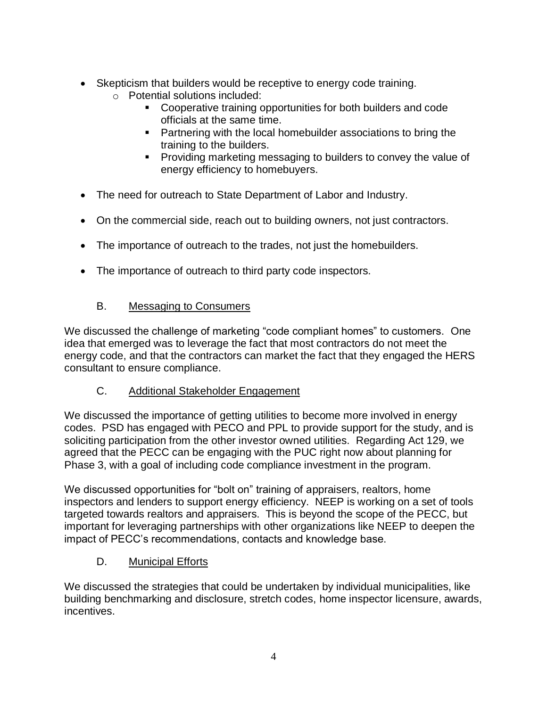- Skepticism that builders would be receptive to energy code training.
	- o Potential solutions included:
		- Cooperative training opportunities for both builders and code officials at the same time.
		- **Partnering with the local homebuilder associations to bring the** training to the builders.
		- **Providing marketing messaging to builders to convey the value of** energy efficiency to homebuyers.
- The need for outreach to State Department of Labor and Industry.
- On the commercial side, reach out to building owners, not just contractors.
- The importance of outreach to the trades, not just the homebuilders.
- The importance of outreach to third party code inspectors.

# B. Messaging to Consumers

We discussed the challenge of marketing "code compliant homes" to customers. One idea that emerged was to leverage the fact that most contractors do not meet the energy code, and that the contractors can market the fact that they engaged the HERS consultant to ensure compliance.

## C. Additional Stakeholder Engagement

We discussed the importance of getting utilities to become more involved in energy codes. PSD has engaged with PECO and PPL to provide support for the study, and is soliciting participation from the other investor owned utilities. Regarding Act 129, we agreed that the PECC can be engaging with the PUC right now about planning for Phase 3, with a goal of including code compliance investment in the program.

We discussed opportunities for "bolt on" training of appraisers, realtors, home inspectors and lenders to support energy efficiency. NEEP is working on a set of tools targeted towards realtors and appraisers. This is beyond the scope of the PECC, but important for leveraging partnerships with other organizations like NEEP to deepen the impact of PECC's recommendations, contacts and knowledge base.

## D. Municipal Efforts

We discussed the strategies that could be undertaken by individual municipalities, like building benchmarking and disclosure, stretch codes, home inspector licensure, awards, incentives.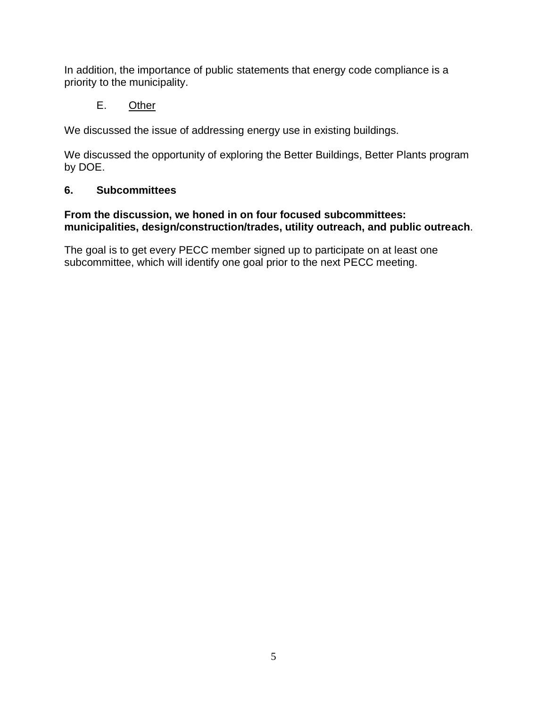In addition, the importance of public statements that energy code compliance is a priority to the municipality.

### E. Other

We discussed the issue of addressing energy use in existing buildings.

We discussed the opportunity of exploring the Better Buildings, Better Plants program by DOE.

#### **6. Subcommittees**

#### **From the discussion, we honed in on four focused subcommittees: municipalities, design/construction/trades, utility outreach, and public outreach**.

The goal is to get every PECC member signed up to participate on at least one subcommittee, which will identify one goal prior to the next PECC meeting.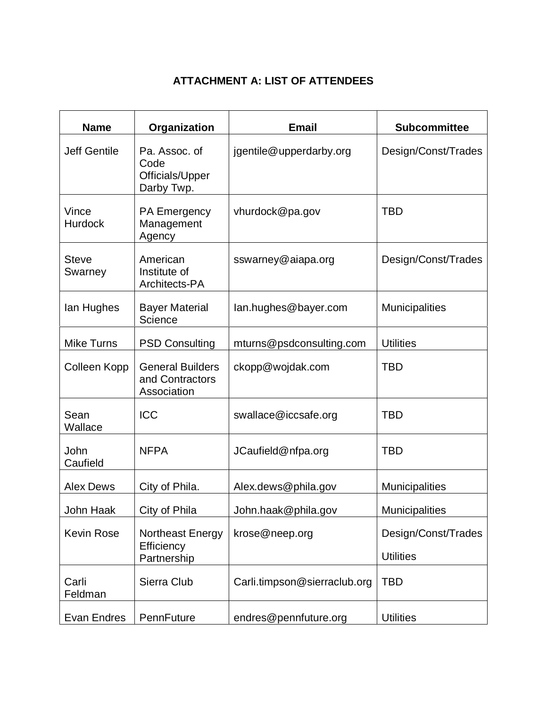# **ATTACHMENT A: LIST OF ATTENDEES**

| <b>Name</b>             | Organization                                              | <b>Email</b>                 | <b>Subcommittee</b>                     |
|-------------------------|-----------------------------------------------------------|------------------------------|-----------------------------------------|
| <b>Jeff Gentile</b>     | Pa. Assoc. of<br>Code<br>Officials/Upper<br>Darby Twp.    | jgentile@upperdarby.org      | Design/Const/Trades                     |
| Vince<br><b>Hurdock</b> | PA Emergency<br>Management<br>Agency                      | vhurdock@pa.gov              | <b>TBD</b>                              |
| <b>Steve</b><br>Swarney | American<br>Institute of<br>Architects-PA                 | sswarney@aiapa.org           | Design/Const/Trades                     |
| lan Hughes              | <b>Bayer Material</b><br>Science                          | lan.hughes@bayer.com         | <b>Municipalities</b>                   |
| <b>Mike Turns</b>       | <b>PSD Consulting</b>                                     | mturns@psdconsulting.com     | <b>Utilities</b>                        |
| Colleen Kopp            | <b>General Builders</b><br>and Contractors<br>Association | ckopp@wojdak.com             | TBD                                     |
| Sean<br>Wallace         | <b>ICC</b>                                                | swallace@iccsafe.org         | <b>TBD</b>                              |
| John<br>Caufield        | <b>NFPA</b>                                               | JCaufield@nfpa.org           | <b>TBD</b>                              |
| <b>Alex Dews</b>        | City of Phila.                                            | Alex.dews@phila.gov          | <b>Municipalities</b>                   |
| John Haak               | City of Phila                                             | John.haak@phila.gov          | <b>Municipalities</b>                   |
| <b>Kevin Rose</b>       | Northeast Energy<br>Efficiency<br>Partnership             | krose@neep.org               | Design/Const/Trades<br><b>Utilities</b> |
| Carli<br>Feldman        | Sierra Club                                               | Carli.timpson@sierraclub.org | TBD                                     |
| Evan Endres             | PennFuture                                                | endres@pennfuture.org        | <b>Utilities</b>                        |